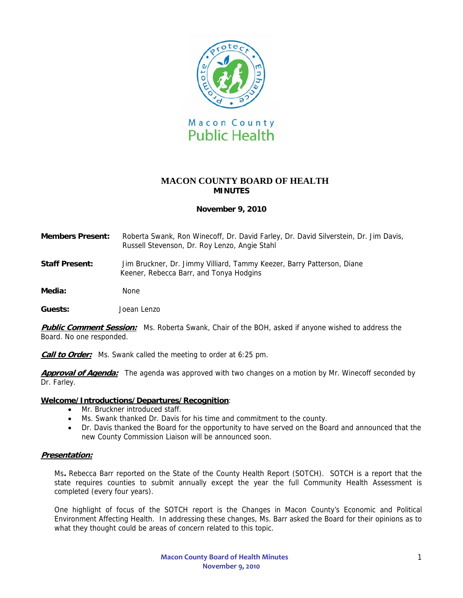

# **MACON COUNTY BOARD OF HEALTH MINUTES**

### **November 9, 2010**

- **Members Present:** Roberta Swank, Ron Winecoff, Dr. David Farley, Dr. David Silverstein, Dr. Jim Davis, Russell Stevenson, Dr. Roy Lenzo, Angie Stahl
- **Staff Present:** Jim Bruckner, Dr. Jimmy Villiard, Tammy Keezer, Barry Patterson, Diane Keener, Rebecca Barr, and Tonya Hodgins
- Media: None

**Guests:** Joean Lenzo

**Public Comment Session:** Ms. Roberta Swank, Chair of the BOH, asked if anyone wished to address the Board. No one responded.

**Call to Order:** Ms. Swank called the meeting to order at 6:25 pm.

Approval of Agenda: The agenda was approved with two changes on a motion by Mr. Winecoff seconded by Dr. Farley.

#### **Welcome/Introductions/Departures/Recognition**:

- Mr. Bruckner introduced staff.
- Ms. Swank thanked Dr. Davis for his time and commitment to the county.
- Dr. Davis thanked the Board for the opportunity to have served on the Board and announced that the new County Commission Liaison will be announced soon.

#### **Presentation:**

Ms**.** Rebecca Barr reported on the State of the County Health Report (SOTCH). SOTCH is a report that the state requires counties to submit annually except the year the full Community Health Assessment is completed (every four years).

One highlight of focus of the SOTCH report is the Changes in Macon County's Economic and Political Environment Affecting Health. In addressing these changes, Ms. Barr asked the Board for their opinions as to what they thought could be areas of concern related to this topic.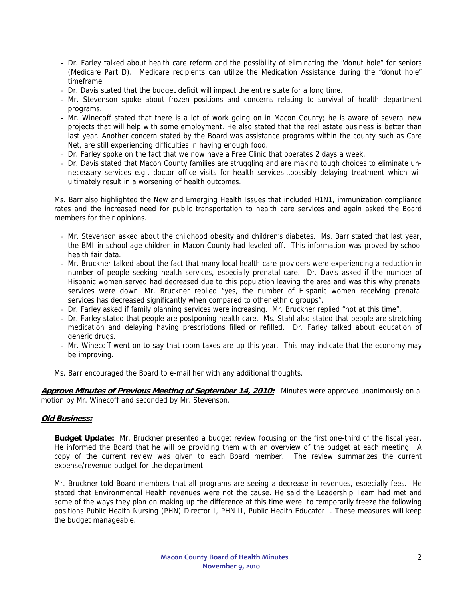- Dr. Farley talked about health care reform and the possibility of eliminating the "donut hole" for seniors (Medicare Part D). Medicare recipients can utilize the Medication Assistance during the "donut hole" timeframe.
- Dr. Davis stated that the budget deficit will impact the entire state for a long time.
- Mr. Stevenson spoke about frozen positions and concerns relating to survival of health department programs.
- Mr. Winecoff stated that there is a lot of work going on in Macon County; he is aware of several new projects that will help with some employment. He also stated that the real estate business is better than last year. Another concern stated by the Board was assistance programs within the county such as Care Net, are still experiencing difficulties in having enough food.
- Dr. Farley spoke on the fact that we now have a Free Clinic that operates 2 days a week.
- Dr. Davis stated that Macon County families are struggling and are making tough choices to eliminate unnecessary services e.g., doctor office visits for health services…possibly delaying treatment which will ultimately result in a worsening of health outcomes.

Ms. Barr also highlighted the New and Emerging Health Issues that included H1N1, immunization compliance rates and the increased need for public transportation to health care services and again asked the Board members for their opinions.

- Mr. Stevenson asked about the childhood obesity and children's diabetes. Ms. Barr stated that last year, the BMI in school age children in Macon County had leveled off. This information was proved by school health fair data.
- Mr. Bruckner talked about the fact that many local health care providers were experiencing a reduction in number of people seeking health services, especially prenatal care. Dr. Davis asked if the number of Hispanic women served had decreased due to this population leaving the area and was this why prenatal services were down. Mr. Bruckner replied "yes, the number of Hispanic women receiving prenatal services has decreased significantly when compared to other ethnic groups".
- Dr. Farley asked if family planning services were increasing. Mr. Bruckner replied "not at this time".
- Dr. Farley stated that people are postponing health care. Ms. Stahl also stated that people are stretching medication and delaying having prescriptions filled or refilled. Dr. Farley talked about education of generic drugs.
- Mr. Winecoff went on to say that room taxes are up this year. This may indicate that the economy may be improving.
- Ms. Barr encouraged the Board to e-mail her with any additional thoughts.

**Approve Minutes of Previous Meeting of September 14, 2010:** Minutes were approved unanimously on a motion by Mr. Winecoff and seconded by Mr. Stevenson.

## **Old Business:**

**Budget Update:** Mr. Bruckner presented a budget review focusing on the first one-third of the fiscal year. He informed the Board that he will be providing them with an overview of the budget at each meeting. A copy of the current review was given to each Board member. The review summarizes the current expense/revenue budget for the department.

Mr. Bruckner told Board members that all programs are seeing a decrease in revenues, especially fees. He stated that Environmental Health revenues were not the cause. He said the Leadership Team had met and some of the ways they plan on making up the difference at this time were: to temporarily freeze the following positions Public Health Nursing (PHN) Director I, PHN II, Public Health Educator I. These measures will keep the budget manageable.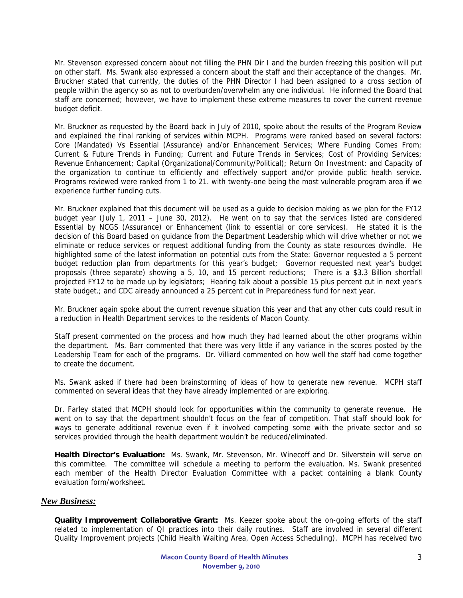Mr. Stevenson expressed concern about not filling the PHN Dir I and the burden freezing this position will put on other staff. Ms. Swank also expressed a concern about the staff and their acceptance of the changes. Mr. Bruckner stated that currently, the duties of the PHN Director I had been assigned to a cross section of people within the agency so as not to overburden/overwhelm any one individual. He informed the Board that staff are concerned; however, we have to implement these extreme measures to cover the current revenue budget deficit.

Mr. Bruckner as requested by the Board back in July of 2010, spoke about the results of the Program Review and explained the final ranking of services within MCPH. Programs were ranked based on several factors: Core (Mandated) Vs Essential (Assurance) and/or Enhancement Services; Where Funding Comes From; Current & Future Trends in Funding; Current and Future Trends in Services; Cost of Providing Services; Revenue Enhancement; Capital (Organizational/Community/Political); Return On Investment; and Capacity of the organization to continue to efficiently and effectively support and/or provide public health service. Programs reviewed were ranked from 1 to 21. with twenty-one being the most vulnerable program area if we experience further funding cuts.

Mr. Bruckner explained that this document will be used as a guide to decision making as we plan for the FY12 budget year (July 1, 2011 – June 30, 2012). He went on to say that the services listed are considered Essential by NCGS (Assurance) or Enhancement (link to essential or core services). He stated it is the decision of this Board based on guidance from the Department Leadership which will drive whether or not we eliminate or reduce services or request additional funding from the County as state resources dwindle. He highlighted some of the latest information on potential cuts from the State: Governor requested a 5 percent budget reduction plan from departments for this year's budget; Governor requested next year's budget proposals (three separate) showing a 5, 10, and 15 percent reductions; There is a \$3.3 Billion shortfall projected FY12 to be made up by legislators; Hearing talk about a possible 15 plus percent cut in next year's state budget.; and CDC already announced a 25 percent cut in Preparedness fund for next year.

Mr. Bruckner again spoke about the current revenue situation this year and that any other cuts could result in a reduction in Health Department services to the residents of Macon County.

Staff present commented on the process and how much they had learned about the other programs within the department. Ms. Barr commented that there was very little if any variance in the scores posted by the Leadership Team for each of the programs. Dr. Villiard commented on how well the staff had come together to create the document.

Ms. Swank asked if there had been brainstorming of ideas of how to generate new revenue. MCPH staff commented on several ideas that they have already implemented or are exploring.

Dr. Farley stated that MCPH should look for opportunities within the community to generate revenue. He went on to say that the department shouldn't focus on the fear of competition. That staff should look for ways to generate additional revenue even if it involved competing some with the private sector and so services provided through the health department wouldn't be reduced/eliminated.

**Health Director's Evaluation:** Ms. Swank, Mr. Stevenson, Mr. Winecoff and Dr. Silverstein will serve on this committee. The committee will schedule a meeting to perform the evaluation. Ms. Swank presented each member of the Health Director Evaluation Committee with a packet containing a blank County evaluation form/worksheet.

## *New Business:*

**Quality Improvement Collaborative Grant:** Ms. Keezer spoke about the on-going efforts of the staff related to implementation of QI practices into their daily routines. Staff are involved in several different Quality Improvement projects (Child Health Waiting Area, Open Access Scheduling). MCPH has received two